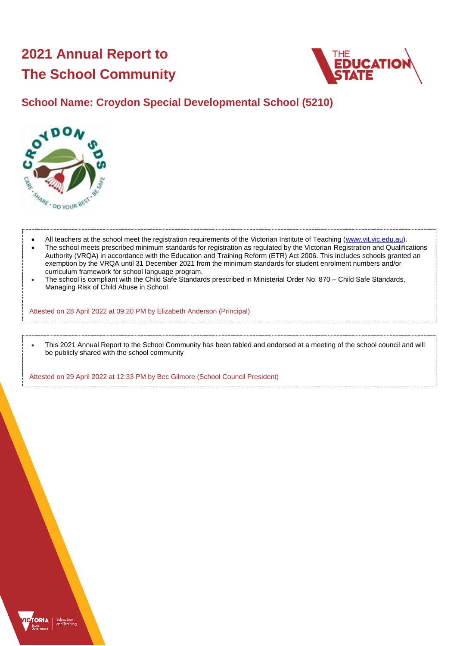# **2021 Annual Report to The School Community**



# **School Name: Croydon Special Developmental School (5210)**



- All teachers at the school meet the registration requirements of the Victorian Institute of Teaching [\(www.vit.vic.edu.au\)](https://www.vit.vic.edu.au/).
- The school meets prescribed minimum standards for registration as regulated by the Victorian Registration and Qualifications Authority (VRQA) in accordance with the Education and Training Reform (ETR) Act 2006. This includes schools granted an exemption by the VRQA until 31 December 2021 from the minimum standards for student enrolment numbers and/or curriculum framework for school language program.
- The school is compliant with the Child Safe Standards prescribed in Ministerial Order No. 870 Child Safe Standards, Managing Risk of Child Abuse in School.

Attested on 28 April 2022 at 09:20 PM by Elizabeth Anderson (Principal)

• This 2021 Annual Report to the School Community has been tabled and endorsed at a meeting of the school council and will be publicly shared with the school community

Attested on 29 April 2022 at 12:33 PM by Bec Gilmore (School Council President)

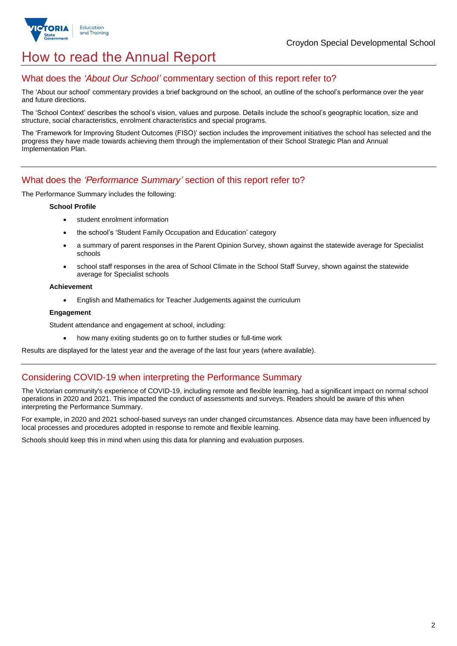

# How to read the Annual Report

### What does the *'About Our School'* commentary section of this report refer to?

The 'About our school' commentary provides a brief background on the school, an outline of the school's performance over the year and future directions.

The 'School Context' describes the school's vision, values and purpose. Details include the school's geographic location, size and structure, social characteristics, enrolment characteristics and special programs.

The 'Framework for Improving Student Outcomes (FISO)' section includes the improvement initiatives the school has selected and the progress they have made towards achieving them through the implementation of their School Strategic Plan and Annual Implementation Plan.

### What does the *'Performance Summary'* section of this report refer to?

The Performance Summary includes the following:

#### **School Profile**

- student enrolment information
- the school's 'Student Family Occupation and Education' category
- a summary of parent responses in the Parent Opinion Survey, shown against the statewide average for Specialist schools
- school staff responses in the area of School Climate in the School Staff Survey, shown against the statewide average for Specialist schools

#### **Achievement**

• English and Mathematics for Teacher Judgements against the curriculum

#### **Engagement**

Student attendance and engagement at school, including:

• how many exiting students go on to further studies or full-time work

Results are displayed for the latest year and the average of the last four years (where available).

### Considering COVID-19 when interpreting the Performance Summary

The Victorian community's experience of COVID-19, including remote and flexible learning, had a significant impact on normal school operations in 2020 and 2021. This impacted the conduct of assessments and surveys. Readers should be aware of this when interpreting the Performance Summary.

For example, in 2020 and 2021 school-based surveys ran under changed circumstances. Absence data may have been influenced by local processes and procedures adopted in response to remote and flexible learning.

Schools should keep this in mind when using this data for planning and evaluation purposes.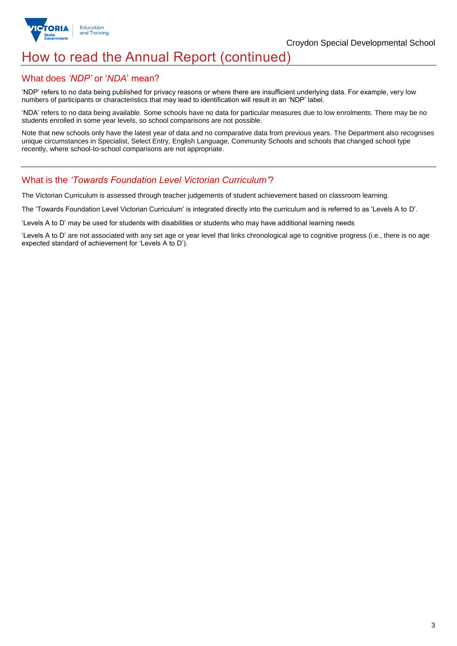

# How to read the Annual Report (continued)

### What does *'NDP'* or '*NDA*' mean?

'NDP' refers to no data being published for privacy reasons or where there are insufficient underlying data. For example, very low numbers of participants or characteristics that may lead to identification will result in an 'NDP' label.

'NDA' refers to no data being available. Some schools have no data for particular measures due to low enrolments. There may be no students enrolled in some year levels, so school comparisons are not possible.

Note that new schools only have the latest year of data and no comparative data from previous years. The Department also recognises unique circumstances in Specialist, Select Entry, English Language, Community Schools and schools that changed school type recently, where school-to-school comparisons are not appropriate.

### What is the *'Towards Foundation Level Victorian Curriculum'*?

The Victorian Curriculum is assessed through teacher judgements of student achievement based on classroom learning.

The 'Towards Foundation Level Victorian Curriculum' is integrated directly into the curriculum and is referred to as 'Levels A to D'.

'Levels A to D' may be used for students with disabilities or students who may have additional learning needs

'Levels A to D' are not associated with any set age or year level that links chronological age to cognitive progress (i.e., there is no age expected standard of achievement for 'Levels A to D').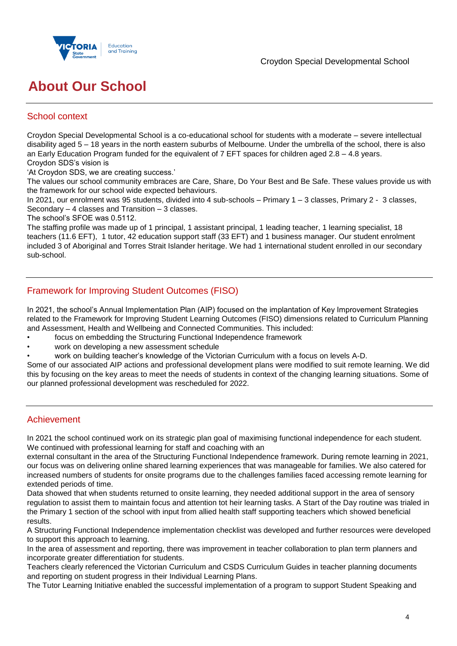

# **About Our School**

## School context

Croydon Special Developmental School is a co-educational school for students with a moderate – severe intellectual disability aged 5 – 18 years in the north eastern suburbs of Melbourne. Under the umbrella of the school, there is also an Early Education Program funded for the equivalent of 7 EFT spaces for children aged 2.8 – 4.8 years. Croydon SDS's vision is

'At Croydon SDS, we are creating success.'

The values our school community embraces are Care, Share, Do Your Best and Be Safe. These values provide us with the framework for our school wide expected behaviours.

In 2021, our enrolment was 95 students, divided into 4 sub-schools – Primary 1 – 3 classes, Primary 2 - 3 classes, Secondary – 4 classes and Transition – 3 classes.

The school's SFOE was 0.5112.

The staffing profile was made up of 1 principal, 1 assistant principal, 1 leading teacher, 1 learning specialist, 18 teachers (11.6 EFT), 1 tutor, 42 education support staff (33 EFT) and 1 business manager. Our student enrolment included 3 of Aboriginal and Torres Strait Islander heritage. We had 1 international student enrolled in our secondary sub-school.

# Framework for Improving Student Outcomes (FISO)

In 2021, the school's Annual Implementation Plan (AIP) focused on the implantation of Key Improvement Strategies related to the Framework for Improving Student Learning Outcomes (FISO) dimensions related to Curriculum Planning and Assessment, Health and Wellbeing and Connected Communities. This included:

- focus on embedding the Structuring Functional Independence framework
- work on developing a new assessment schedule
- work on building teacher's knowledge of the Victorian Curriculum with a focus on levels A-D.

Some of our associated AIP actions and professional development plans were modified to suit remote learning. We did this by focusing on the key areas to meet the needs of students in context of the changing learning situations. Some of our planned professional development was rescheduled for 2022.

## Achievement

In 2021 the school continued work on its strategic plan goal of maximising functional independence for each student. We continued with professional learning for staff and coaching with an

external consultant in the area of the Structuring Functional Independence framework. During remote learning in 2021, our focus was on delivering online shared learning experiences that was manageable for families. We also catered for increased numbers of students for onsite programs due to the challenges families faced accessing remote learning for extended periods of time.

Data showed that when students returned to onsite learning, they needed additional support in the area of sensory regulation to assist them to maintain focus and attention tot heir learning tasks. A Start of the Day routine was trialed in the Primary 1 section of the school with input from allied health staff supporting teachers which showed beneficial results.

A Structuring FunctionaI Independence implementation checklist was developed and further resources were developed to support this approach to learning.

In the area of assessment and reporting, there was improvement in teacher collaboration to plan term planners and incorporate greater differentiation for students.

Teachers clearly referenced the Victorian Curriculum and CSDS Curriculum Guides in teacher planning documents and reporting on student progress in their Individual Learning Plans.

The Tutor Learning Initiative enabled the successful implementation of a program to support Student Speaking and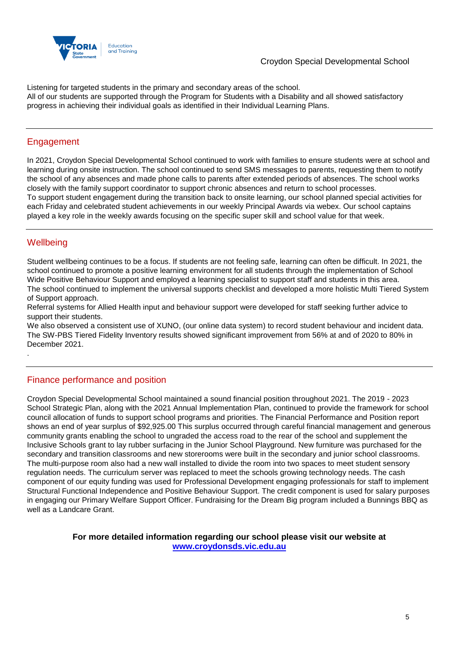

Listening for targeted students in the primary and secondary areas of the school. All of our students are supported through the Program for Students with a Disability and all showed satisfactory progress in achieving their individual goals as identified in their Individual Learning Plans.

## Engagement

In 2021, Croydon Special Developmental School continued to work with families to ensure students were at school and learning during onsite instruction. The school continued to send SMS messages to parents, requesting them to notify the school of any absences and made phone calls to parents after extended periods of absences. The school works closely with the family support coordinator to support chronic absences and return to school processes. To support student engagement during the transition back to onsite learning, our school planned special activities for each Friday and celebrated student achievements in our weekly Principal Awards via webex. Our school captains played a key role in the weekly awards focusing on the specific super skill and school value for that week.

# **Wellbeing**

.

Student wellbeing continues to be a focus. If students are not feeling safe, learning can often be difficult. In 2021, the school continued to promote a positive learning environment for all students through the implementation of School Wide Positive Behaviour Support and employed a learning specialist to support staff and students in this area. The school continued to implement the universal supports checklist and developed a more holistic Multi Tiered System of Support approach.

Referral systems for Allied Health input and behaviour support were developed for staff seeking further advice to support their students.

We also observed a consistent use of XUNO, (our online data system) to record student behaviour and incident data. The SW-PBS Tiered Fidelity Inventory results showed significant improvement from 56% at and of 2020 to 80% in December 2021.

## Finance performance and position

Croydon Special Developmental School maintained a sound financial position throughout 2021. The 2019 - 2023 School Strategic Plan, along with the 2021 Annual Implementation Plan, continued to provide the framework for school council allocation of funds to support school programs and priorities. The Financial Performance and Position report shows an end of year surplus of \$92,925.00 This surplus occurred through careful financial management and generous community grants enabling the school to ungraded the access road to the rear of the school and supplement the Inclusive Schools grant to lay rubber surfacing in the Junior School Playground. New furniture was purchased for the secondary and transition classrooms and new storerooms were built in the secondary and junior school classrooms. The multi-purpose room also had a new wall installed to divide the room into two spaces to meet student sensory regulation needs. The curriculum server was replaced to meet the schools growing technology needs. The cash component of our equity funding was used for Professional Development engaging professionals for staff to implement Structural Functional Independence and Positive Behaviour Support. The credit component is used for salary purposes in engaging our Primary Welfare Support Officer. Fundraising for the Dream Big program included a Bunnings BBQ as well as a Landcare Grant.

### **For more detailed information regarding our school please visit our website at [www.croydonsds.vic.edu.au](file:///C:/Users/02276663/Downloads/www.croydonsds.vic.edu.au)**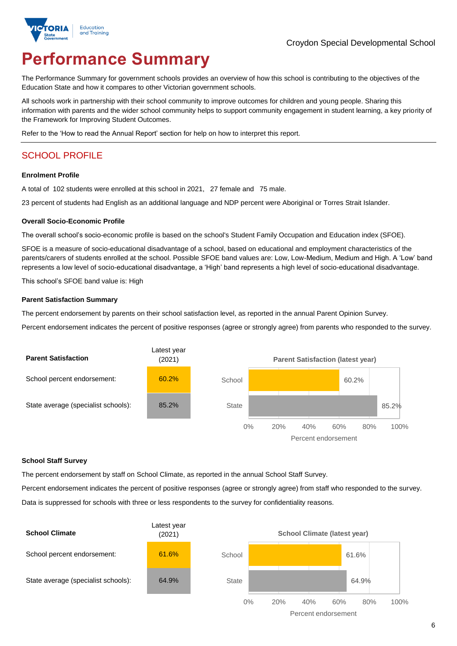

# **Performance Summary**

The Performance Summary for government schools provides an overview of how this school is contributing to the objectives of the Education State and how it compares to other Victorian government schools.

All schools work in partnership with their school community to improve outcomes for children and young people. Sharing this information with parents and the wider school community helps to support community engagement in student learning, a key priority of the Framework for Improving Student Outcomes.

Refer to the 'How to read the Annual Report' section for help on how to interpret this report.

# SCHOOL PROFILE

#### **Enrolment Profile**

A total of 102 students were enrolled at this school in 2021, 27 female and 75 male.

23 percent of students had English as an additional language and NDP percent were Aboriginal or Torres Strait Islander.

#### **Overall Socio-Economic Profile**

The overall school's socio-economic profile is based on the school's Student Family Occupation and Education index (SFOE).

SFOE is a measure of socio-educational disadvantage of a school, based on educational and employment characteristics of the parents/carers of students enrolled at the school. Possible SFOE band values are: Low, Low-Medium, Medium and High. A 'Low' band represents a low level of socio-educational disadvantage, a 'High' band represents a high level of socio-educational disadvantage.

This school's SFOE band value is: High

#### **Parent Satisfaction Summary**

The percent endorsement by parents on their school satisfaction level, as reported in the annual Parent Opinion Survey.

Percent endorsement indicates the percent of positive responses (agree or strongly agree) from parents who responded to the survey.



#### **School Staff Survey**

The percent endorsement by staff on School Climate, as reported in the annual School Staff Survey.

Percent endorsement indicates the percent of positive responses (agree or strongly agree) from staff who responded to the survey. Data is suppressed for schools with three or less respondents to the survey for confidentiality reasons.

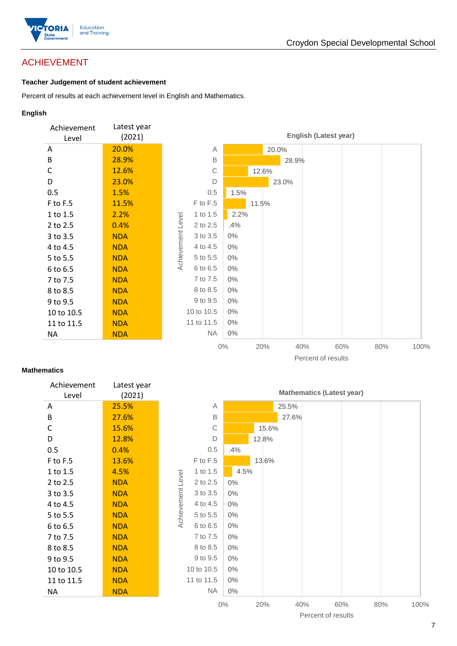

# ACHIEVEMENT

#### **Teacher Judgement of student achievement**

Percent of results at each achievement level in English and Mathematics.

#### **English**



#### **Mathematics**

| Achievement<br>Level | Latest year<br>(2021) |
|----------------------|-----------------------|
| Α                    | 25.5%                 |
| B                    | 27.6%                 |
| C                    | 15.6%                 |
| D                    | 12.8%                 |
| 0.5                  | $0.4\%$               |
| F to F.5             | 13.6%                 |
| 1 to 1.5             | 4.5%                  |
| 2 to 2.5             | NDA                   |
| 3 to 3.5             | NDA                   |
| 4 to 4.5             | NDA                   |
| 5 to 5.5             | NDA                   |
| 6 to 6.5             | NDA                   |
| 7 to 7.5             | NDA                   |
| 8 to 8.5             | NDA                   |
| 9 to 9.5             | NDA                   |
| 10 to 10.5           | <b>NDA</b>            |
| 11 to 11.5           | NDA                   |
| ΝA                   | NDA                   |
|                      |                       |

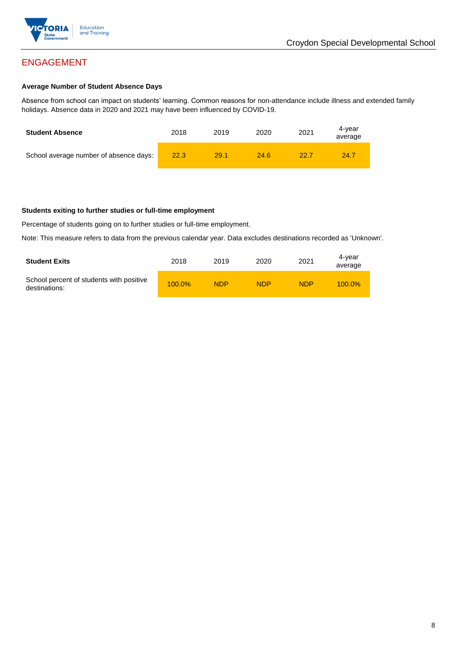

# ENGAGEMENT

#### **Average Number of Student Absence Days**

Absence from school can impact on students' learning. Common reasons for non-attendance include illness and extended family holidays. Absence data in 2020 and 2021 may have been influenced by COVID-19.

| <b>Student Absence</b>                 | 2018 | 2019 | 2020 | 2021 | 4-vear<br>average |
|----------------------------------------|------|------|------|------|-------------------|
| School average number of absence days: | 22.3 | 29.1 | 24.6 | 22.7 | 24.7              |

#### **Students exiting to further studies or full-time employment**

Percentage of students going on to further studies or full-time employment.

Note: This measure refers to data from the previous calendar year. Data excludes destinations recorded as 'Unknown'.

| <b>Student Exits</b>                                      | 2018      | 2019       | 2020       | 2021       | 4-vear<br>average |
|-----------------------------------------------------------|-----------|------------|------------|------------|-------------------|
| School percent of students with positive<br>destinations: | $100.0\%$ | <b>NDP</b> | <b>NDP</b> | <b>NDP</b> | $100.0\%$         |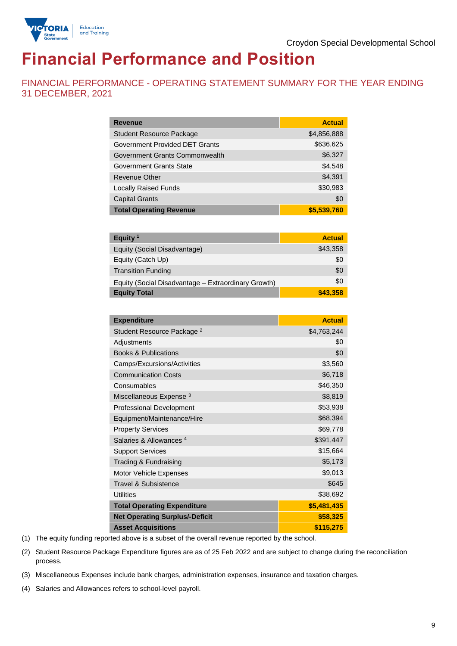

# **Financial Performance and Position**

FINANCIAL PERFORMANCE - OPERATING STATEMENT SUMMARY FOR THE YEAR ENDING 31 DECEMBER, 2021

| <b>Revenue</b>                  | <b>Actual</b> |
|---------------------------------|---------------|
| <b>Student Resource Package</b> | \$4,856,888   |
| Government Provided DET Grants  | \$636,625     |
| Government Grants Commonwealth  | \$6,327       |
| Government Grants State         | \$4,548       |
| Revenue Other                   | \$4,391       |
| <b>Locally Raised Funds</b>     | \$30,983      |
| <b>Capital Grants</b>           | \$0           |
| <b>Total Operating Revenue</b>  | \$5,539,760   |

| Equity <sup>1</sup>                                 | <b>Actual</b> |
|-----------------------------------------------------|---------------|
| Equity (Social Disadvantage)                        | \$43,358      |
| Equity (Catch Up)                                   | \$0           |
| <b>Transition Funding</b>                           | \$0           |
| Equity (Social Disadvantage - Extraordinary Growth) | \$0           |
| <b>Equity Total</b>                                 | \$43,358      |

| <b>Expenditure</b>                    | <b>Actual</b> |
|---------------------------------------|---------------|
| Student Resource Package <sup>2</sup> | \$4,763,244   |
| Adjustments                           | \$0           |
| <b>Books &amp; Publications</b>       | \$0           |
| Camps/Excursions/Activities           | \$3,560       |
| <b>Communication Costs</b>            | \$6,718       |
| Consumables                           | \$46,350      |
| Miscellaneous Expense <sup>3</sup>    | \$8,819       |
| <b>Professional Development</b>       | \$53,938      |
| Equipment/Maintenance/Hire            | \$68,394      |
| <b>Property Services</b>              | \$69,778      |
| Salaries & Allowances <sup>4</sup>    | \$391,447     |
| <b>Support Services</b>               | \$15,664      |
| Trading & Fundraising                 | \$5,173       |
| Motor Vehicle Expenses                | \$9,013       |
| <b>Travel &amp; Subsistence</b>       | \$645         |
| <b>Utilities</b>                      | \$38,692      |
| <b>Total Operating Expenditure</b>    | \$5,481,435   |
| <b>Net Operating Surplus/-Deficit</b> | \$58,325      |
| <b>Asset Acquisitions</b>             | \$115,275     |

(1) The equity funding reported above is a subset of the overall revenue reported by the school.

(2) Student Resource Package Expenditure figures are as of 25 Feb 2022 and are subject to change during the reconciliation process.

(3) Miscellaneous Expenses include bank charges, administration expenses, insurance and taxation charges.

(4) Salaries and Allowances refers to school-level payroll.